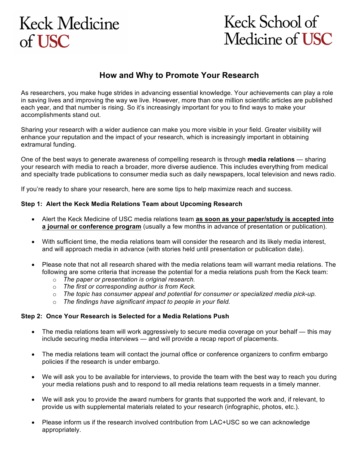# **Keck Medicine**  $of **USC**$

# Keck School of Medicine of USC

### **How and Why to Promote Your Research**

As researchers, you make huge strides in advancing essential knowledge. Your achievements can play a role in saving lives and improving the way we live. However, more than one million scientific articles are published each year, and that number is rising. So it's increasingly important for you to find ways to make your accomplishments stand out.

Sharing your research with a wider audience can make you more visible in your field. Greater visibility will enhance your reputation and the impact of your research, which is increasingly important in obtaining extramural funding.

One of the best ways to generate awareness of compelling research is through **media relations** — sharing your research with media to reach a broader, more diverse audience. This includes everything from medical and specialty trade publications to consumer media such as daily newspapers, local television and news radio.

If you're ready to share your research, here are some tips to help maximize reach and success.

### **Step 1: Alert the Keck Media Relations Team about Upcoming Research**

- Alert the Keck Medicine of USC media relations team **as soon as your paper/study is accepted into a journal or conference program** (usually a few months in advance of presentation or publication).
- With sufficient time, the media relations team will consider the research and its likely media interest, and will approach media in advance (with stories held until presentation or publication date).
- Please note that not all research shared with the media relations team will warrant media relations. The following are some criteria that increase the potential for a media relations push from the Keck team:
	- o *The paper or presentation is original research.*
	- o *The first or corresponding author is from Keck.*
	- o *The topic has consumer appeal and potential for consumer or specialized media pick-up.*
	- o *The findings have significant impact to people in your field.*

#### **Step 2: Once Your Research is Selected for a Media Relations Push**

- The media relations team will work aggressively to secure media coverage on your behalf this may include securing media interviews — and will provide a recap report of placements.
- The media relations team will contact the journal office or conference organizers to confirm embargo policies if the research is under embargo.
- We will ask you to be available for interviews, to provide the team with the best way to reach you during your media relations push and to respond to all media relations team requests in a timely manner.
- We will ask you to provide the award numbers for grants that supported the work and, if relevant, to provide us with supplemental materials related to your research (infographic, photos, etc.).
- Please inform us if the research involved contribution from LAC+USC so we can acknowledge appropriately.